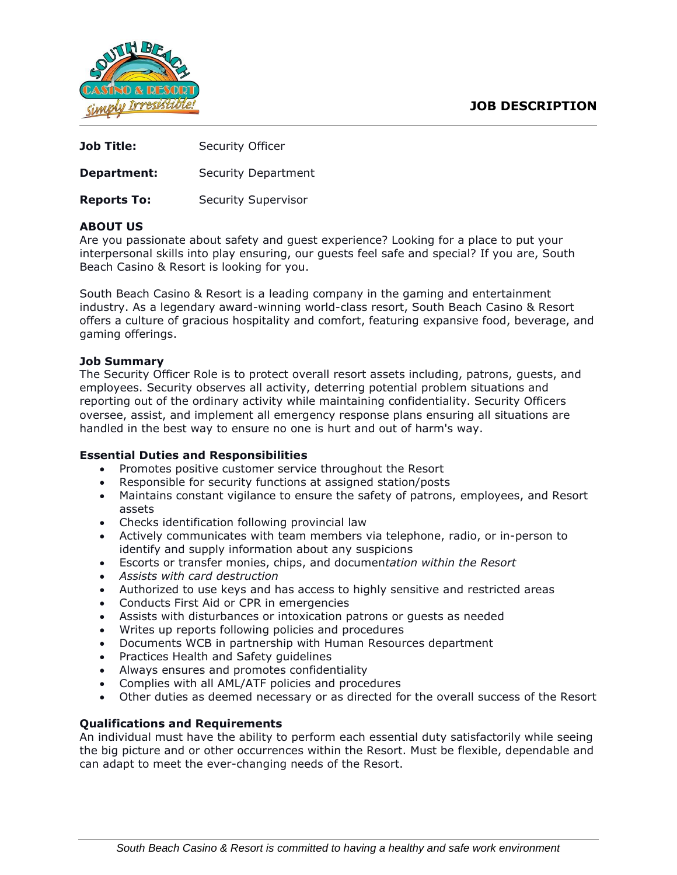

| <b>Job Title:</b>  | Security Officer    |
|--------------------|---------------------|
| Department:        | Security Department |
| <b>Reports To:</b> | Security Supervisor |

## **ABOUT US**

Are you passionate about safety and guest experience? Looking for a place to put your interpersonal skills into play ensuring, our guests feel safe and special? If you are, South Beach Casino & Resort is looking for you.

South Beach Casino & Resort is a leading company in the gaming and entertainment industry. As a legendary award-winning world-class resort, South Beach Casino & Resort offers a culture of gracious hospitality and comfort, featuring expansive food, beverage, and gaming offerings.

### **Job Summary**

The Security Officer Role is to protect overall resort assets including, patrons, guests, and employees. Security observes all activity, deterring potential problem situations and reporting out of the ordinary activity while maintaining confidentiality. Security Officers oversee, assist, and implement all emergency response plans ensuring all situations are handled in the best way to ensure no one is hurt and out of harm's way.

### **Essential Duties and Responsibilities**

- Promotes positive customer service throughout the Resort
- Responsible for security functions at assigned station/posts
- Maintains constant vigilance to ensure the safety of patrons, employees, and Resort assets
- Checks identification following provincial law
- Actively communicates with team members via telephone, radio, or in-person to identify and supply information about any suspicions
- Escorts or transfer monies, chips, and documen*tation within the Resort*
- *Assists with card destruction*
- Authorized to use keys and has access to highly sensitive and restricted areas
- Conducts First Aid or CPR in emergencies
- Assists with disturbances or intoxication patrons or guests as needed
- Writes up reports following policies and procedures
- Documents WCB in partnership with Human Resources department
- Practices Health and Safety guidelines
- Always ensures and promotes confidentiality
- Complies with all AML/ATF policies and procedures
- Other duties as deemed necessary or as directed for the overall success of the Resort

### **Qualifications and Requirements**

An individual must have the ability to perform each essential duty satisfactorily while seeing the big picture and or other occurrences within the Resort. Must be flexible, dependable and can adapt to meet the ever-changing needs of the Resort.